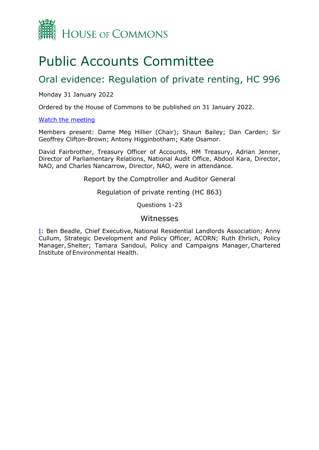

# Public Accounts Committee

# Oral evidence: Regulation of private renting, HC 996

## Monday 31 January 2022

Ordered by the House of Commons to be published on 31 January 2022.

### [Watch the meeting](https://www.parliamentlive.tv/Event/Index/6dab29da-7df5-46b7-af1e-d5eee8641f3b)

Members present: Dame Meg Hillier (Chair); Shaun Bailey; Dan Carden; Sir Geoffrey Clifton-Brown; Antony Higginbotham; Kate Osamor.

David Fairbrother, Treasury Officer of Accounts, HM Treasury, Adrian Jenner, Director of Parliamentary Relations, National Audit Office, Abdool Kara, Director, NAO, and Charles Nancarrow, Director, NAO, were in attendance.

Report by the Comptroller and Auditor General

Regulation of private renting (HC 863)

Questions 1-23

# Witnesses

[I:](#page-1-0) Ben Beadle, Chief Executive, National Residential Landlords Association; Anny Cullum, Strategic Development and Policy Officer, ACORN; Ruth Ehrlich, Policy Manager, Shelter; Tamara Sandoul, Policy and Campaigns Manager, Chartered Institute of Environmental Health.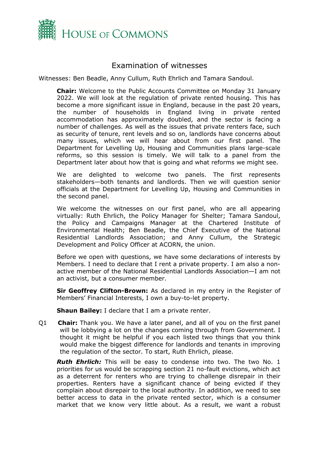

# Examination of witnesses

<span id="page-1-0"></span>Witnesses: Ben Beadle, Anny Cullum, Ruth Ehrlich and Tamara Sandoul.

**Chair:** Welcome to the Public Accounts Committee on Monday 31 January 2022. We will look at the regulation of private rented housing. This has become a more significant issue in England, because in the past 20 years, the number of households in England living in private rented accommodation has approximately doubled, and the sector is facing a number of challenges. As well as the issues that private renters face, such as security of tenure, rent levels and so on, landlords have concerns about many issues, which we will hear about from our first panel. The Department for Levelling Up, Housing and Communities plans large-scale reforms, so this session is timely. We will talk to a panel from the Department later about how that is going and what reforms we might see.

We are delighted to welcome two panels. The first represents stakeholders—both tenants and landlords. Then we will question senior officials at the Department for Levelling Up, Housing and Communities in the second panel.

We welcome the witnesses on our first panel, who are all appearing virtually: Ruth Ehrlich, the Policy Manager for Shelter; Tamara Sandoul, the Policy and Campaigns Manager at the Chartered Institute of Environmental Health; Ben Beadle, the Chief Executive of the National Residential Landlords Association; and Anny Cullum, the Strategic Development and Policy Officer at ACORN, the union.

Before we open with questions, we have some declarations of interests by Members. I need to declare that I rent a private property. I am also a nonactive member of the National Residential Landlords Association—I am not an activist, but a consumer member.

**Sir Geoffrey Clifton-Brown:** As declared in my entry in the Register of Members' Financial Interests, I own a buy-to-let property.

**Shaun Bailey:** I declare that I am a private renter.

Q1 **Chair:** Thank you. We have a later panel, and all of you on the first panel will be lobbying a lot on the changes coming through from Government. I thought it might be helpful if you each listed two things that you think would make the biggest difference for landlords and tenants in improving the regulation of the sector. To start, Ruth Ehrlich, please.

**Ruth Ehrlich:** This will be easy to condense into two. The two No. 1 priorities for us would be scrapping section 21 no-fault evictions, which act as a deterrent for renters who are trying to challenge disrepair in their properties. Renters have a significant chance of being evicted if they complain about disrepair to the local authority. In addition, we need to see better access to data in the private rented sector, which is a consumer market that we know very little about. As a result, we want a robust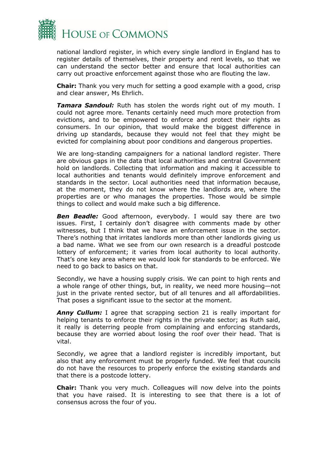

national landlord register, in which every single landlord in England has to register details of themselves, their property and rent levels, so that we can understand the sector better and ensure that local authorities can carry out proactive enforcement against those who are flouting the law.

**Chair:** Thank you very much for setting a good example with a good, crisp and clear answer, Ms Ehrlich.

*Tamara Sandoul:* Ruth has stolen the words right out of my mouth. I could not agree more. Tenants certainly need much more protection from evictions, and to be empowered to enforce and protect their rights as consumers. In our opinion, that would make the biggest difference in driving up standards, because they would not feel that they might be evicted for complaining about poor conditions and dangerous properties.

We are long-standing campaigners for a national landlord register. There are obvious gaps in the data that local authorities and central Government hold on landlords. Collecting that information and making it accessible to local authorities and tenants would definitely improve enforcement and standards in the sector. Local authorities need that information because, at the moment, they do not know where the landlords are, where the properties are or who manages the properties. Those would be simple things to collect and would make such a big difference.

**Ben Beadle:** Good afternoon, everybody. I would say there are two issues. First, I certainly don't disagree with comments made by other witnesses, but I think that we have an enforcement issue in the sector. There's nothing that irritates landlords more than other landlords giving us a bad name. What we see from our own research is a dreadful postcode lottery of enforcement; it varies from local authority to local authority. That's one key area where we would look for standards to be enforced. We need to go back to basics on that.

Secondly, we have a housing supply crisis. We can point to high rents and a whole range of other things, but, in reality, we need more housing—not just in the private rented sector, but of all tenures and all affordabilities. That poses a significant issue to the sector at the moment.

**Anny Cullum:** I agree that scrapping section 21 is really important for helping tenants to enforce their rights in the private sector; as Ruth said, it really is deterring people from complaining and enforcing standards, because they are worried about losing the roof over their head. That is vital.

Secondly, we agree that a landlord register is incredibly important, but also that any enforcement must be properly funded. We feel that councils do not have the resources to properly enforce the existing standards and that there is a postcode lottery.

**Chair:** Thank you very much. Colleagues will now delve into the points that you have raised. It is interesting to see that there is a lot of consensus across the four of you.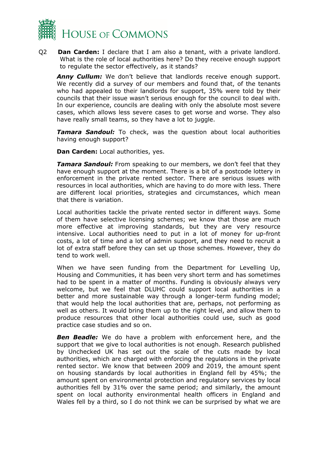

Q2 **Dan Carden:** I declare that I am also a tenant, with a private landlord. What is the role of local authorities here? Do they receive enough support to regulate the sector effectively, as it stands?

**Anny Cullum:** We don't believe that landlords receive enough support. We recently did a survey of our members and found that, of the tenants who had appealed to their landlords for support, 35% were told by their councils that their issue wasn't serious enough for the council to deal with. In our experience, councils are dealing with only the absolute most severe cases, which allows less severe cases to get worse and worse. They also have really small teams, so they have a lot to juggle.

*Tamara Sandoul:* To check, was the question about local authorities having enough support?

**Dan Carden:** Local authorities, yes.

*Tamara Sandoul:* From speaking to our members, we don't feel that they have enough support at the moment. There is a bit of a postcode lottery in enforcement in the private rented sector. There are serious issues with resources in local authorities, which are having to do more with less. There are different local priorities, strategies and circumstances, which mean that there is variation.

Local authorities tackle the private rented sector in different ways. Some of them have selective licensing schemes; we know that those are much more effective at improving standards, but they are very resource intensive. Local authorities need to put in a lot of money for up-front costs, a lot of time and a lot of admin support, and they need to recruit a lot of extra staff before they can set up those schemes. However, they do tend to work well.

When we have seen funding from the Department for Levelling Up, Housing and Communities, it has been very short term and has sometimes had to be spent in a matter of months. Funding is obviously always very welcome, but we feel that DLUHC could support local authorities in a better and more sustainable way through a longer-term funding model; that would help the local authorities that are, perhaps, not performing as well as others. It would bring them up to the right level, and allow them to produce resources that other local authorities could use, such as good practice case studies and so on.

*Ben Beadle:* We do have a problem with enforcement here, and the support that we give to local authorities is not enough. Research published by Unchecked UK has set out the scale of the cuts made by local authorities, which are charged with enforcing the regulations in the private rented sector. We know that between 2009 and 2019, the amount spent on housing standards by local authorities in England fell by 45%; the amount spent on environmental protection and regulatory services by local authorities fell by 31% over the same period; and similarly, the amount spent on local authority environmental health officers in England and Wales fell by a third, so I do not think we can be surprised by what we are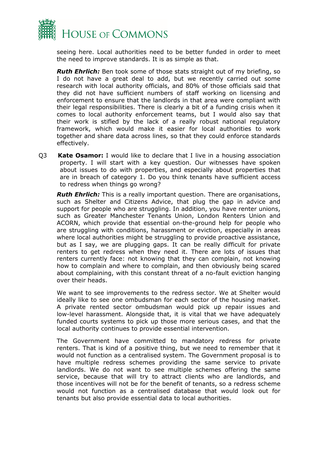

seeing here. Local authorities need to be better funded in order to meet the need to improve standards. It is as simple as that.

*Ruth Ehrlich:* Ben took some of those stats straight out of my briefing, so I do not have a great deal to add, but we recently carried out some research with local authority officials, and 80% of those officials said that they did not have sufficient numbers of staff working on licensing and enforcement to ensure that the landlords in that area were compliant with their legal responsibilities. There is clearly a bit of a funding crisis when it comes to local authority enforcement teams, but I would also say that their work is stifled by the lack of a really robust national regulatory framework, which would make it easier for local authorities to work together and share data across lines, so that they could enforce standards effectively.

Q3 **Kate Osamor:** I would like to declare that I live in a housing association property. I will start with a key question. Our witnesses have spoken about issues to do with properties, and especially about properties that are in breach of category 1. Do you think tenants have sufficient access to redress when things go wrong?

*Ruth Ehrlich:* This is a really important question. There are organisations, such as Shelter and Citizens Advice, that plug the gap in advice and support for people who are struggling. In addition, you have renter unions, such as Greater Manchester Tenants Union, London Renters Union and ACORN, which provide that essential on-the-ground help for people who are struggling with conditions, harassment or eviction, especially in areas where local authorities might be struggling to provide proactive assistance, but as I say, we are plugging gaps. It can be really difficult for private renters to get redress when they need it. There are lots of issues that renters currently face: not knowing that they can complain, not knowing how to complain and where to complain, and then obviously being scared about complaining, with this constant threat of a no-fault eviction hanging over their heads.

We want to see improvements to the redress sector. We at Shelter would ideally like to see one ombudsman for each sector of the housing market. A private rented sector ombudsman would pick up repair issues and low-level harassment. Alongside that, it is vital that we have adequately funded courts systems to pick up those more serious cases, and that the local authority continues to provide essential intervention.

The Government have committed to mandatory redress for private renters. That is kind of a positive thing, but we need to remember that it would not function as a centralised system. The Government proposal is to have multiple redress schemes providing the same service to private landlords. We do not want to see multiple schemes offering the same service, because that will try to attract clients who are landlords, and those incentives will not be for the benefit of tenants, so a redress scheme would not function as a centralised database that would look out for tenants but also provide essential data to local authorities.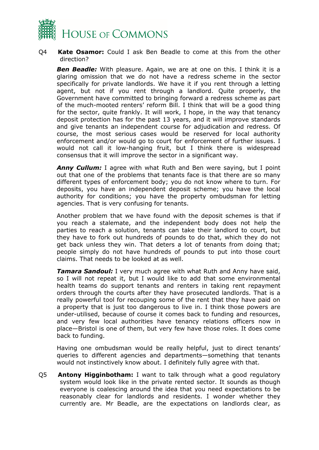

#### Q4 **Kate Osamor:** Could I ask Ben Beadle to come at this from the other direction?

*Ben Beadle:* With pleasure. Again, we are at one on this. I think it is a glaring omission that we do not have a redress scheme in the sector specifically for private landlords. We have it if you rent through a letting agent, but not if you rent through a landlord. Quite properly, the Government have committed to bringing forward a redress scheme as part of the much-mooted renters' reform Bill. I think that will be a good thing for the sector, quite frankly. It will work, I hope, in the way that tenancy deposit protection has for the past 13 years, and it will improve standards and give tenants an independent course for adjudication and redress. Of course, the most serious cases would be reserved for local authority enforcement and/or would go to court for enforcement of further issues. I would not call it low-hanging fruit, but I think there is widespread consensus that it will improve the sector in a significant way.

*Anny Cullum:* I agree with what Ruth and Ben were saying, but I point out that one of the problems that tenants face is that there are so many different types of enforcement body; you do not know where to turn. For deposits, you have an independent deposit scheme; you have the local authority for conditions; you have the property ombudsman for letting agencies. That is very confusing for tenants.

Another problem that we have found with the deposit schemes is that if you reach a stalemate, and the independent body does not help the parties to reach a solution, tenants can take their landlord to court, but they have to fork out hundreds of pounds to do that, which they do not get back unless they win. That deters a lot of tenants from doing that; people simply do not have hundreds of pounds to put into those court claims. That needs to be looked at as well.

*Tamara Sandoul:* I very much agree with what Ruth and Anny have said, so I will not repeat it, but I would like to add that some environmental health teams do support tenants and renters in taking rent repayment orders through the courts after they have prosecuted landlords. That is a really powerful tool for recouping some of the rent that they have paid on a property that is just too dangerous to live in. I think those powers are under-utilised, because of course it comes back to funding and resources, and very few local authorities have tenancy relations officers now in place—Bristol is one of them, but very few have those roles. It does come back to funding.

Having one ombudsman would be really helpful, just to direct tenants' queries to different agencies and departments—something that tenants would not instinctively know about. I definitely fully agree with that.

Q5 **Antony Higginbotham:** I want to talk through what a good regulatory system would look like in the private rented sector. It sounds as though everyone is coalescing around the idea that you need expectations to be reasonably clear for landlords and residents. I wonder whether they currently are. Mr Beadle, are the expectations on landlords clear, as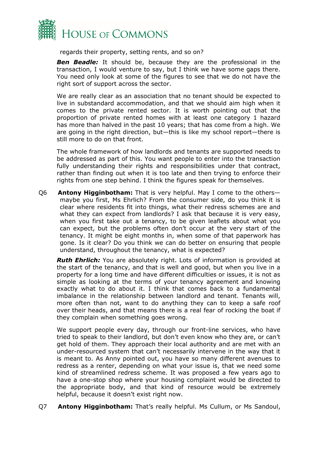

regards their property, setting rents, and so on?

**Ben Beadle:** It should be, because they are the professional in the transaction, I would venture to say, but I think we have some gaps there. You need only look at some of the figures to see that we do not have the right sort of support across the sector.

We are really clear as an association that no tenant should be expected to live in substandard accommodation, and that we should aim high when it comes to the private rented sector. It is worth pointing out that the proportion of private rented homes with at least one category 1 hazard has more than halved in the past 10 years; that has come from a high. We are going in the right direction, but—this is like my school report—there is still more to do on that front.

The whole framework of how landlords and tenants are supported needs to be addressed as part of this. You want people to enter into the transaction fully understanding their rights and responsibilities under that contract, rather than finding out when it is too late and then trying to enforce their rights from one step behind. I think the figures speak for themselves.

Q6 **Antony Higginbotham:** That is very helpful. May I come to the others maybe you first, Ms Ehrlich? From the consumer side, do you think it is clear where residents fit into things, what their redress schemes are and what they can expect from landlords? I ask that because it is very easy, when you first take out a tenancy, to be given leaflets about what you can expect, but the problems often don't occur at the very start of the tenancy. It might be eight months in, when some of that paperwork has gone. Is it clear? Do you think we can do better on ensuring that people understand, throughout the tenancy, what is expected?

*Ruth Ehrlich:* You are absolutely right. Lots of information is provided at the start of the tenancy, and that is well and good, but when you live in a property for a long time and have different difficulties or issues, it is not as simple as looking at the terms of your tenancy agreement and knowing exactly what to do about it. I think that comes back to a fundamental imbalance in the relationship between landlord and tenant. Tenants will, more often than not, want to do anything they can to keep a safe roof over their heads, and that means there is a real fear of rocking the boat if they complain when something goes wrong.

We support people every day, through our front-line services, who have tried to speak to their landlord, but don't even know who they are, or can't get hold of them. They approach their local authority and are met with an under-resourced system that can't necessarily intervene in the way that it is meant to. As Anny pointed out, you have so many different avenues to redress as a renter, depending on what your issue is, that we need some kind of streamlined redress scheme. It was proposed a few years ago to have a one-stop shop where your housing complaint would be directed to the appropriate body, and that kind of resource would be extremely helpful, because it doesn't exist right now.

Q7 **Antony Higginbotham:** That's really helpful. Ms Cullum, or Ms Sandoul,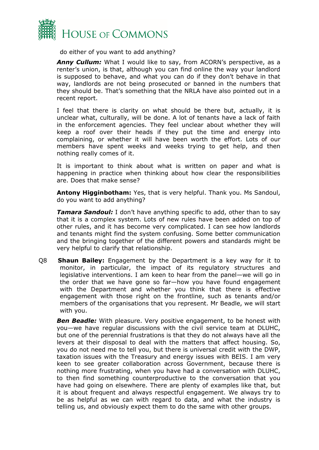

do either of you want to add anything?

*Anny Cullum:* What I would like to say, from ACORN's perspective, as a renter's union, is that, although you can find online the way your landlord is supposed to behave, and what you can do if they don't behave in that way, landlords are not being prosecuted or banned in the numbers that they should be. That's something that the NRLA have also pointed out in a recent report.

I feel that there is clarity on what should be there but, actually, it is unclear what, culturally, will be done. A lot of tenants have a lack of faith in the enforcement agencies. They feel unclear about whether they will keep a roof over their heads if they put the time and energy into complaining, or whether it will have been worth the effort. Lots of our members have spent weeks and weeks trying to get help, and then nothing really comes of it.

It is important to think about what is written on paper and what is happening in practice when thinking about how clear the responsibilities are. Does that make sense?

**Antony Higginbotham:** Yes, that is very helpful. Thank you. Ms Sandoul, do you want to add anything?

**Tamara Sandoul:** I don't have anything specific to add, other than to say that it is a complex system. Lots of new rules have been added on top of other rules, and it has become very complicated. I can see how landlords and tenants might find the system confusing. Some better communication and the bringing together of the different powers and standards might be very helpful to clarify that relationship.

Q8 **Shaun Bailey:** Engagement by the Department is a key way for it to monitor, in particular, the impact of its regulatory structures and legislative interventions. I am keen to hear from the panel—we will go in the order that we have gone so far—how you have found engagement with the Department and whether you think that there is effective engagement with those right on the frontline, such as tenants and/or members of the organisations that you represent. Mr Beadle, we will start with you.

**Ben Beadle:** With pleasure. Very positive engagement, to be honest with you—we have regular discussions with the civil service team at DLUHC, but one of the perennial frustrations is that they do not always have all the levers at their disposal to deal with the matters that affect housing. So, you do not need me to tell you, but there is universal credit with the DWP, taxation issues with the Treasury and energy issues with BEIS. I am very keen to see greater collaboration across Government, because there is nothing more frustrating, when you have had a conversation with DLUHC, to then find something counterproductive to the conversation that you have had going on elsewhere. There are plenty of examples like that, but it is about frequent and always respectful engagement. We always try to be as helpful as we can with regard to data, and what the industry is telling us, and obviously expect them to do the same with other groups.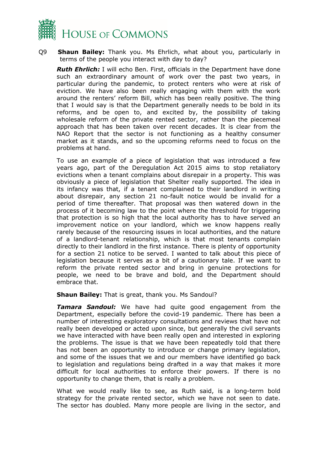

Q9 **Shaun Bailey:** Thank you. Ms Ehrlich, what about you, particularly in terms of the people you interact with day to day?

*Ruth Ehrlich:* I will echo Ben. First, officials in the Department have done such an extraordinary amount of work over the past two years, in particular during the pandemic, to protect renters who were at risk of eviction. We have also been really engaging with them with the work around the renters' reform Bill, which has been really positive. The thing that I would say is that the Department generally needs to be bold in its reforms, and be open to, and excited by, the possibility of taking wholesale reform of the private rented sector, rather than the piecemeal approach that has been taken over recent decades. It is clear from the NAO Report that the sector is not functioning as a healthy consumer market as it stands, and so the upcoming reforms need to focus on the problems at hand.

To use an example of a piece of legislation that was introduced a few years ago, part of the Deregulation Act 2015 aims to stop retaliatory evictions when a tenant complains about disrepair in a property. This was obviously a piece of legislation that Shelter really supported. The idea in its infancy was that, if a tenant complained to their landlord in writing about disrepair, any section 21 no-fault notice would be invalid for a period of time thereafter. That proposal was then watered down in the process of it becoming law to the point where the threshold for triggering that protection is so high that the local authority has to have served an improvement notice on your landlord, which we know happens really rarely because of the resourcing issues in local authorities, and the nature of a landlord-tenant relationship, which is that most tenants complain directly to their landlord in the first instance. There is plenty of opportunity for a section 21 notice to be served. I wanted to talk about this piece of legislation because it serves as a bit of a cautionary tale. If we want to reform the private rented sector and bring in genuine protections for people, we need to be brave and bold, and the Department should embrace that.

**Shaun Bailey:** That is great, thank you. Ms Sandoul?

*Tamara Sandoul:* We have had quite good engagement from the Department, especially before the covid-19 pandemic. There has been a number of interesting exploratory consultations and reviews that have not really been developed or acted upon since, but generally the civil servants we have interacted with have been really open and interested in exploring the problems. The issue is that we have been repeatedly told that there has not been an opportunity to introduce or change primary legislation, and some of the issues that we and our members have identified go back to legislation and regulations being drafted in a way that makes it more difficult for local authorities to enforce their powers. If there is no opportunity to change them, that is really a problem.

What we would really like to see, as Ruth said, is a long-term bold strategy for the private rented sector, which we have not seen to date. The sector has doubled. Many more people are living in the sector, and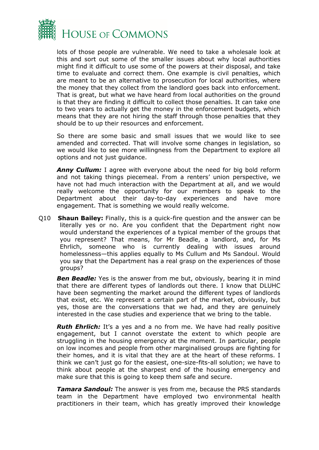

lots of those people are vulnerable. We need to take a wholesale look at this and sort out some of the smaller issues about why local authorities might find it difficult to use some of the powers at their disposal, and take time to evaluate and correct them. One example is civil penalties, which are meant to be an alternative to prosecution for local authorities, where the money that they collect from the landlord goes back into enforcement. That is great, but what we have heard from local authorities on the ground is that they are finding it difficult to collect those penalties. It can take one to two years to actually get the money in the enforcement budgets, which means that they are not hiring the staff through those penalties that they should be to up their resources and enforcement.

So there are some basic and small issues that we would like to see amended and corrected. That will involve some changes in legislation, so we would like to see more willingness from the Department to explore all options and not just guidance.

*Anny Cullum:* I agree with everyone about the need for big bold reform and not taking things piecemeal. From a renters' union perspective, we have not had much interaction with the Department at all, and we would really welcome the opportunity for our members to speak to the Department about their day-to-day experiences and have more engagement. That is something we would really welcome.

Q10 **Shaun Bailey:** Finally, this is a quick-fire question and the answer can be literally yes or no. Are you confident that the Department right now would understand the experiences of a typical member of the groups that you represent? That means, for Mr Beadle, a landlord, and, for Ms Ehrlich, someone who is currently dealing with issues around homelessness—this applies equally to Ms Cullum and Ms Sandoul. Would you say that the Department has a real grasp on the experiences of those groups?

**Ben Beadle:** Yes is the answer from me but, obviously, bearing it in mind that there are different types of landlords out there. I know that DLUHC have been segmenting the market around the different types of landlords that exist, etc. We represent a certain part of the market, obviously, but yes, those are the conversations that we had, and they are genuinely interested in the case studies and experience that we bring to the table.

**Ruth Ehrlich:** It's a yes and a no from me. We have had really positive engagement, but I cannot overstate the extent to which people are struggling in the housing emergency at the moment. In particular, people on low incomes and people from other marginalised groups are fighting for their homes, and it is vital that they are at the heart of these reforms. I think we can't just go for the easiest, one-size-fits-all solution; we have to think about people at the sharpest end of the housing emergency and make sure that this is going to keep them safe and secure.

*Tamara Sandoul:* The answer is yes from me, because the PRS standards team in the Department have employed two environmental health practitioners in their team, which has greatly improved their knowledge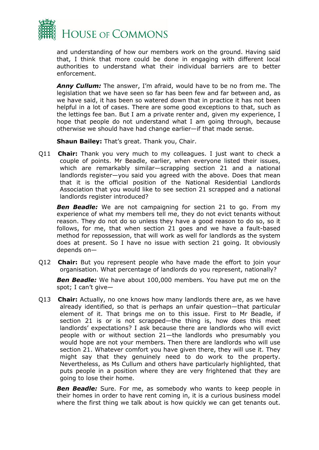

and understanding of how our members work on the ground. Having said that, I think that more could be done in engaging with different local authorities to understand what their individual barriers are to better enforcement.

*Anny Cullum:* The answer, I'm afraid, would have to be no from me. The legislation that we have seen so far has been few and far between and, as we have said, it has been so watered down that in practice it has not been helpful in a lot of cases. There are some good exceptions to that, such as the lettings fee ban. But I am a private renter and, given my experience, I hope that people do not understand what I am going through, because otherwise we should have had change earlier—if that made sense.

**Shaun Bailey:** That's great. Thank you, Chair.

Q11 **Chair:** Thank you very much to my colleagues. I just want to check a couple of points. Mr Beadle, earlier, when everyone listed their issues, which are remarkably similar—scrapping section 21 and a national landlords register—you said you agreed with the above. Does that mean that it is the official position of the National Residential Landlords Association that you would like to see section 21 scrapped and a national landlords register introduced?

**Ben Beadle:** We are not campaigning for section 21 to go. From my experience of what my members tell me, they do not evict tenants without reason. They do not do so unless they have a good reason to do so, so it follows, for me, that when section 21 goes and we have a fault-based method for repossession, that will work as well for landlords as the system does at present. So I have no issue with section 21 going. It obviously depends on—

Q12 **Chair:** But you represent people who have made the effort to join your organisation. What percentage of landlords do you represent, nationally?

*Ben Beadle:* We have about 100,000 members. You have put me on the spot; I can't give—

Q13 **Chair:** Actually, no one knows how many landlords there are, as we have already identified, so that is perhaps an unfair question—that particular element of it. That brings me on to this issue. First to Mr Beadle, if section 21 is or is not scrapped—the thing is, how does this meet landlords' expectations? I ask because there are landlords who will evict people with or without section 21—the landlords who presumably you would hope are not your members. Then there are landlords who will use section 21. Whatever comfort you have given there, they will use it. They might say that they genuinely need to do work to the property. Nevertheless, as Ms Cullum and others have particularly highlighted, that puts people in a position where they are very frightened that they are going to lose their home.

**Ben Beadle:** Sure. For me, as somebody who wants to keep people in their homes in order to have rent coming in, it is a curious business model where the first thing we talk about is how quickly we can get tenants out.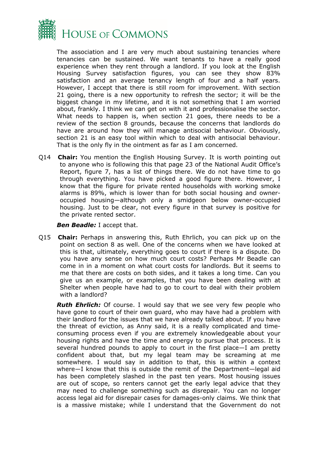

The association and I are very much about sustaining tenancies where tenancies can be sustained. We want tenants to have a really good experience when they rent through a landlord. If you look at the English Housing Survey satisfaction figures, you can see they show 83% satisfaction and an average tenancy length of four and a half years. However, I accept that there is still room for improvement. With section 21 going, there is a new opportunity to refresh the sector; it will be the biggest change in my lifetime, and it is not something that I am worried about, frankly. I think we can get on with it and professionalise the sector. What needs to happen is, when section 21 goes, there needs to be a review of the section 8 grounds, because the concerns that landlords do have are around how they will manage antisocial behaviour. Obviously, section 21 is an easy tool within which to deal with antisocial behaviour. That is the only fly in the ointment as far as I am concerned.

Q14 **Chair:** You mention the English Housing Survey. It is worth pointing out to anyone who is following this that page 23 of the National Audit Office's Report, figure 7, has a list of things there. We do not have time to go through everything. You have picked a good figure there. However, I know that the figure for private rented households with working smoke alarms is 89%, which is lower than for both social housing and owneroccupied housing—although only a smidgeon below owner-occupied housing. Just to be clear, not every figure in that survey is positive for the private rented sector.

#### *Ben Beadle:* I accept that.

Q15 **Chair:** Perhaps in answering this, Ruth Ehrlich, you can pick up on the point on section 8 as well. One of the concerns when we have looked at this is that, ultimately, everything goes to court if there is a dispute. Do you have any sense on how much court costs? Perhaps Mr Beadle can come in in a moment on what court costs for landlords. But it seems to me that there are costs on both sides, and it takes a long time. Can you give us an example, or examples, that you have been dealing with at Shelter when people have had to go to court to deal with their problem with a landlord?

**Ruth Ehrlich:** Of course. I would say that we see very few people who have gone to court of their own guard, who may have had a problem with their landlord for the issues that we have already talked about. If you have the threat of eviction, as Anny said, it is a really complicated and timeconsuming process even if you are extremely knowledgeable about your housing rights and have the time and energy to pursue that process. It is several hundred pounds to apply to court in the first place—I am pretty confident about that, but my legal team may be screaming at me somewhere. I would say in addition to that, this is within a context where—I know that this is outside the remit of the Department—legal aid has been completely slashed in the past ten years. Most housing issues are out of scope, so renters cannot get the early legal advice that they may need to challenge something such as disrepair. You can no longer access legal aid for disrepair cases for damages-only claims. We think that is a massive mistake; while I understand that the Government do not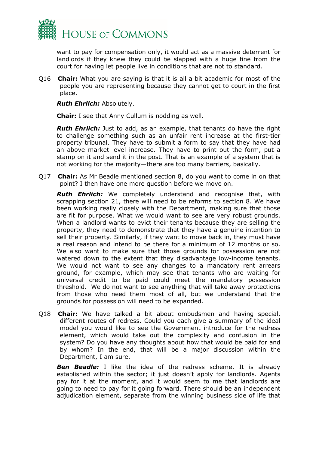

want to pay for compensation only, it would act as a massive deterrent for landlords if they knew they could be slapped with a huge fine from the court for having let people live in conditions that are not to standard.

Q16 **Chair:** What you are saying is that it is all a bit academic for most of the people you are representing because they cannot get to court in the first place.

*Ruth Ehrlich:* Absolutely.

**Chair:** I see that Anny Cullum is nodding as well.

*Ruth Ehrlich:* Just to add, as an example, that tenants do have the right to challenge something such as an unfair rent increase at the first-tier property tribunal. They have to submit a form to say that they have had an above market level increase. They have to print out the form, put a stamp on it and send it in the post. That is an example of a system that is not working for the majority—there are too many barriers, basically.

Q17 **Chair:** As Mr Beadle mentioned section 8, do you want to come in on that point? I then have one more question before we move on.

*Ruth Ehrlich:* We completely understand and recognise that, with scrapping section 21, there will need to be reforms to section 8. We have been working really closely with the Department, making sure that those are fit for purpose. What we would want to see are very robust grounds. When a landlord wants to evict their tenants because they are selling the property, they need to demonstrate that they have a genuine intention to sell their property. Similarly, if they want to move back in, they must have a real reason and intend to be there for a minimum of 12 months or so. We also want to make sure that those grounds for possession are not watered down to the extent that they disadvantage low-income tenants. We would not want to see any changes to a mandatory rent arrears ground, for example, which may see that tenants who are waiting for universal credit to be paid could meet the mandatory possession threshold. We do not want to see anything that will take away protections from those who need them most of all, but we understand that the grounds for possession will need to be expanded.

Q18 **Chair:** We have talked a bit about ombudsmen and having special, different routes of redress. Could you each give a summary of the ideal model you would like to see the Government introduce for the redress element, which would take out the complexity and confusion in the system? Do you have any thoughts about how that would be paid for and by whom? In the end, that will be a major discussion within the Department, I am sure.

**Ben Beadle:** I like the idea of the redress scheme. It is already established within the sector; it just doesn't apply for landlords. Agents pay for it at the moment, and it would seem to me that landlords are going to need to pay for it going forward. There should be an independent adjudication element, separate from the winning business side of life that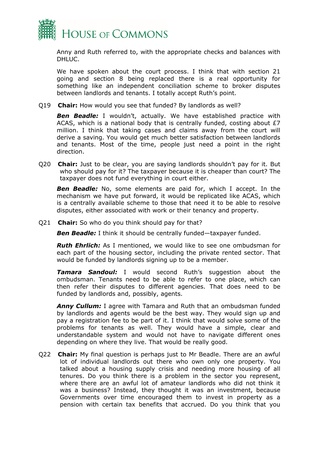

Anny and Ruth referred to, with the appropriate checks and balances with DHLUC.

We have spoken about the court process. I think that with section 21 going and section 8 being replaced there is a real opportunity for something like an independent conciliation scheme to broker disputes between landlords and tenants. I totally accept Ruth's point.

Q19 **Chair:** How would you see that funded? By landlords as well?

**Ben Beadle:** I wouldn't, actually. We have established practice with ACAS, which is a national body that is centrally funded, costing about £7 million. I think that taking cases and claims away from the court will derive a saving. You would get much better satisfaction between landlords and tenants. Most of the time, people just need a point in the right direction.

Q20 **Chair:** Just to be clear, you are saying landlords shouldn't pay for it. But who should pay for it? The taxpayer because it is cheaper than court? The taxpayer does not fund everything in court either.

**Ben Beadle:** No, some elements are paid for, which I accept. In the mechanism we have put forward, it would be replicated like ACAS, which is a centrally available scheme to those that need it to be able to resolve disputes, either associated with work or their tenancy and property.

Q21 **Chair:** So who do you think should pay for that?

*Ben Beadle:* I think it should be centrally funded—taxpayer funded.

*Ruth Ehrlich:* As I mentioned, we would like to see one ombudsman for each part of the housing sector, including the private rented sector. That would be funded by landlords signing up to be a member.

*Tamara Sandoul:* I would second Ruth's suggestion about the ombudsman. Tenants need to be able to refer to one place, which can then refer their disputes to different agencies. That does need to be funded by landlords and, possibly, agents.

*Anny Cullum:* I agree with Tamara and Ruth that an ombudsman funded by landlords and agents would be the best way. They would sign up and pay a registration fee to be part of it. I think that would solve some of the problems for tenants as well. They would have a simple, clear and understandable system and would not have to navigate different ones depending on where they live. That would be really good.

Q22 **Chair:** My final question is perhaps just to Mr Beadle. There are an awful lot of individual landlords out there who own only one property. You talked about a housing supply crisis and needing more housing of all tenures. Do you think there is a problem in the sector you represent, where there are an awful lot of amateur landlords who did not think it was a business? Instead, they thought it was an investment, because Governments over time encouraged them to invest in property as a pension with certain tax benefits that accrued. Do you think that you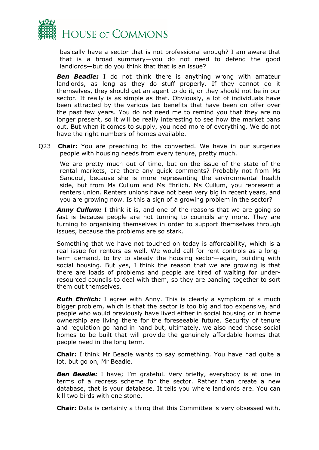

basically have a sector that is not professional enough? I am aware that that is a broad summary—you do not need to defend the good landlords—but do you think that that is an issue?

*Ben Beadle:* I do not think there is anything wrong with amateur landlords, as long as they do stuff properly. If they cannot do it themselves, they should get an agent to do it, or they should not be in our sector. It really is as simple as that. Obviously, a lot of individuals have been attracted by the various tax benefits that have been on offer over the past few years. You do not need me to remind you that they are no longer present, so it will be really interesting to see how the market pans out. But when it comes to supply, you need more of everything. We do not have the right numbers of homes available.

Q23 **Chair:** You are preaching to the converted. We have in our surgeries people with housing needs from every tenure, pretty much.

We are pretty much out of time, but on the issue of the state of the rental markets, are there any quick comments? Probably not from Ms Sandoul, because she is more representing the environmental health side, but from Ms Cullum and Ms Ehrlich. Ms Cullum, you represent a renters union. Renters unions have not been very big in recent years, and you are growing now. Is this a sign of a growing problem in the sector?

**Anny Cullum:** I think it is, and one of the reasons that we are going so fast is because people are not turning to councils any more. They are turning to organising themselves in order to support themselves through issues, because the problems are so stark.

Something that we have not touched on today is affordability, which is a real issue for renters as well. We would call for rent controls as a longterm demand, to try to steady the housing sector—again, building with social housing. But yes, I think the reason that we are growing is that there are loads of problems and people are tired of waiting for underresourced councils to deal with them, so they are banding together to sort them out themselves.

**Ruth Ehrlich:** I agree with Anny. This is clearly a symptom of a much bigger problem, which is that the sector is too big and too expensive, and people who would previously have lived either in social housing or in home ownership are living there for the foreseeable future. Security of tenure and regulation go hand in hand but, ultimately, we also need those social homes to be built that will provide the genuinely affordable homes that people need in the long term.

**Chair:** I think Mr Beadle wants to say something. You have had quite a lot, but go on, Mr Beadle.

**Ben Beadle:** I have; I'm grateful. Very briefly, everybody is at one in terms of a redress scheme for the sector. Rather than create a new database, that is your database. It tells you where landlords are. You can kill two birds with one stone.

**Chair:** Data is certainly a thing that this Committee is very obsessed with,